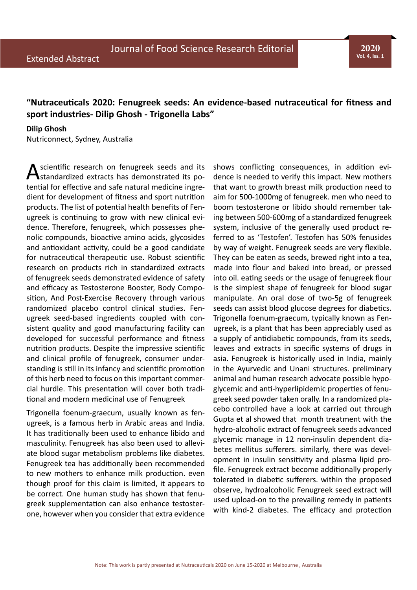**2020 Vol. 4, Iss. 1**

## **"Nutraceuticals 2020: Fenugreek seeds: An evidence-based nutraceutical for fitness and sport industries- Dilip Ghosh - Trigonella Labs"**

# **Dilip Ghosh**

Nutriconnect, Sydney, Australia

scientific research on fenugreek seeds and its standardized extracts has demonstrated its potential for effective and safe natural medicine ingredient for development of fitness and sport nutrition products. The list of potential health benefits of Fenugreek is continuing to grow with new clinical evidence. Therefore, fenugreek, which possesses phenolic compounds, bioactive amino acids, glycosides and antioxidant activity, could be a good candidate for nutraceutical therapeutic use. Robust scientific research on products rich in standardized extracts of fenugreek seeds demonstrated evidence of safety and efficacy as Testosterone Booster, Body Composition, And Post-Exercise Recovery through various randomized placebo control clinical studies. Fenugreek seed-based ingredients coupled with consistent quality and good manufacturing facility can developed for successful performance and fitness nutrition products. Despite the impressive scientific and clinical profile of fenugreek, consumer understanding is still in its infancy and scientific promotion of this herb need to focus on this important commercial hurdle. This presentation will cover both traditional and modern medicinal use of Fenugreek

Trigonella foenum-graecum, usually known as fenugreek, is a famous herb in Arabic areas and India. It has traditionally been used to enhance libido and masculinity. Fenugreek has also been used to alleviate blood sugar metabolism problems like diabetes. Fenugreek tea has additionally been recommended to new mothers to enhance milk production. even though proof for this claim is limited, it appears to be correct. One human study has shown that fenugreek supplementation can also enhance testosterone, however when you consider that extra evidence

shows conflicting consequences, in addition evidence is needed to verify this impact. New mothers that want to growth breast milk production need to aim for 500-1000mg of fenugreek. men who need to boom testosterone or libido should remember taking between 500-600mg of a standardized fenugreek system, inclusive of the generally used product referred to as 'Testofen'. Testofen has 50% fenusides by way of weight. Fenugreek seeds are very flexible. They can be eaten as seeds, brewed right into a tea, made into flour and baked into bread, or pressed into oil. eating seeds or the usage of fenugreek flour is the simplest shape of fenugreek for blood sugar manipulate. An oral dose of two-5g of fenugreek seeds can assist blood glucose degrees for diabetics. Trigonella foenum-graecum, typically known as Fenugreek, is a plant that has been appreciably used as a supply of antidiabetic compounds, from its seeds, leaves and extracts in specific systems of drugs in asia. Fenugreek is historically used in India, mainly in the Ayurvedic and Unani structures. preliminary animal and human research advocate possible hypoglycemic and anti-hyperlipidemic properties of fenugreek seed powder taken orally. In a randomized placebo controlled have a look at carried out through Gupta et al showed that month treatment with the hydro-alcoholic extract of fenugreek seeds advanced glycemic manage in 12 non-insulin dependent diabetes mellitus sufferers. similarly, there was development in insulin sensitivity and plasma lipid profile. Fenugreek extract become additionally properly tolerated in diabetic sufferers. within the proposed observe, hydroalcoholic Fenugreek seed extract will used upload-on to the prevailing remedy in patients with kind-2 diabetes. The efficacy and protection